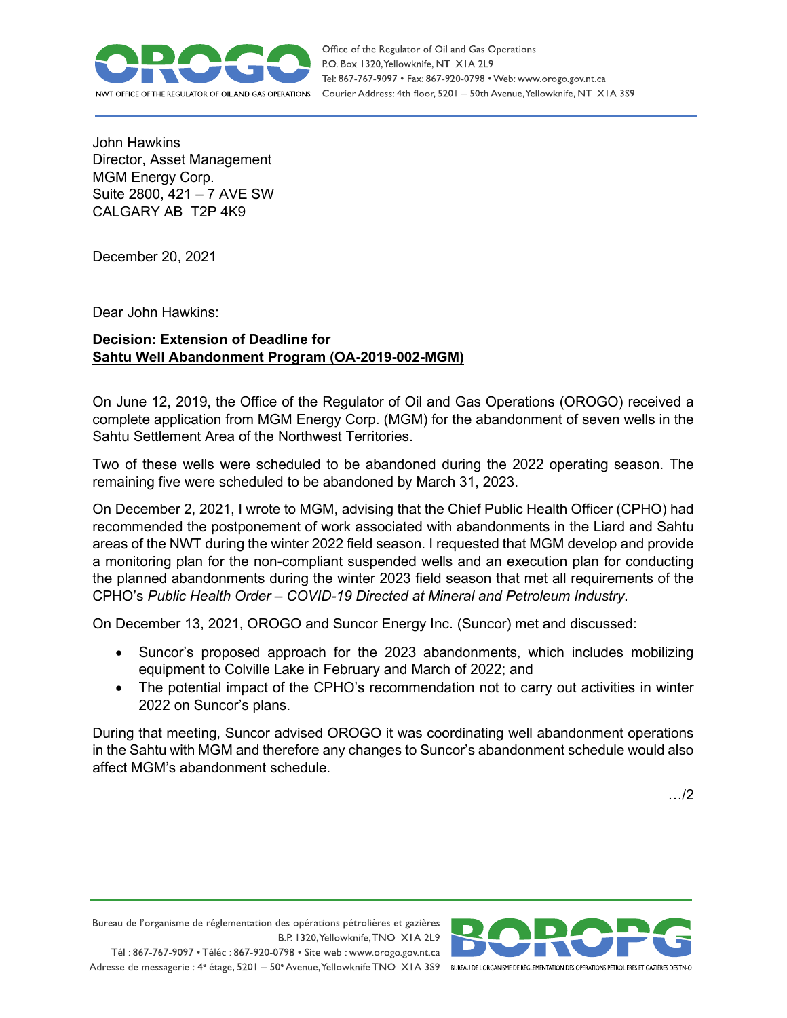

Office of the Regulator of Oil and Gas Operations P.O. Box 1320, Yellowknife, NT XIA 2L9 Tel: 867-767-9097 • Fax: 867-920-0798 • Web: www.orogo.gov.nt.ca Courier Address: 4th floor, 5201 - 50th Avenue, Yellowknife, NT XIA 3S9

John Hawkins Director, Asset Management MGM Energy Corp. Suite 2800, 421 – 7 AVE SW CALGARY AB T2P 4K9

December 20, 2021

Dear John Hawkins:

## **Decision: Extension of Deadline for Sahtu Well Abandonment Program (OA-2019-002-MGM)**

On June 12, 2019, the Office of the Regulator of Oil and Gas Operations (OROGO) received a complete application from MGM Energy Corp. (MGM) for the abandonment of seven wells in the Sahtu Settlement Area of the Northwest Territories.

Two of these wells were scheduled to be abandoned during the 2022 operating season. The remaining five were scheduled to be abandoned by March 31, 2023.

On December 2, 2021, I wrote to MGM, advising that the Chief Public Health Officer (CPHO) had recommended the postponement of work associated with abandonments in the Liard and Sahtu areas of the NWT during the winter 2022 field season. I requested that MGM develop and provide a monitoring plan for the non-compliant suspended wells and an execution plan for conducting the planned abandonments during the winter 2023 field season that met all requirements of the CPHO's *Public Health Order – COVID-19 Directed at Mineral and Petroleum Industry*.

On December 13, 2021, OROGO and Suncor Energy Inc. (Suncor) met and discussed:

- Suncor's proposed approach for the 2023 abandonments, which includes mobilizing equipment to Colville Lake in February and March of 2022; and
- The potential impact of the CPHO's recommendation not to carry out activities in winter 2022 on Suncor's plans.

During that meeting, Suncor advised OROGO it was coordinating well abandonment operations in the Sahtu with MGM and therefore any changes to Suncor's abandonment schedule would also affect MGM's abandonment schedule.

…/2